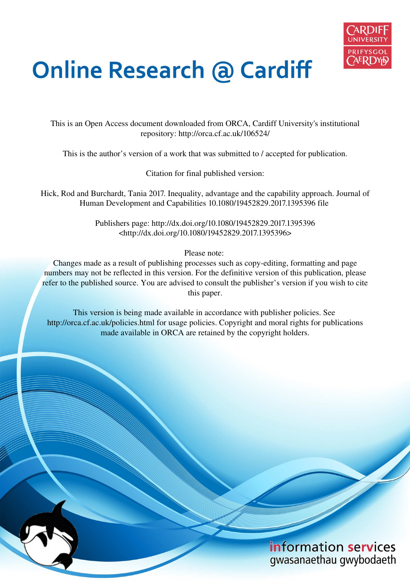

# **Online Research @ Cardiff**

This is an Open Access document downloaded from ORCA, Cardiff University's institutional repository: http://orca.cf.ac.uk/106524/

This is the author's version of a work that was submitted to / accepted for publication.

Citation for final published version:

Hick, Rod and Burchardt, Tania 2017. Inequality, advantage and the capability approach. Journal of Human Development and Capabilities 10.1080/19452829.2017.1395396 file

> Publishers page: http://dx.doi.org/10.1080/19452829.2017.1395396 <http://dx.doi.org/10.1080/19452829.2017.1395396>

> > Please note:

Changes made as a result of publishing processes such as copy-editing, formatting and page numbers may not be reflected in this version. For the definitive version of this publication, please refer to the published source. You are advised to consult the publisher's version if you wish to cite this paper.

This version is being made available in accordance with publisher policies. See http://orca.cf.ac.uk/policies.html for usage policies. Copyright and moral rights for publications made available in ORCA are retained by the copyright holders.

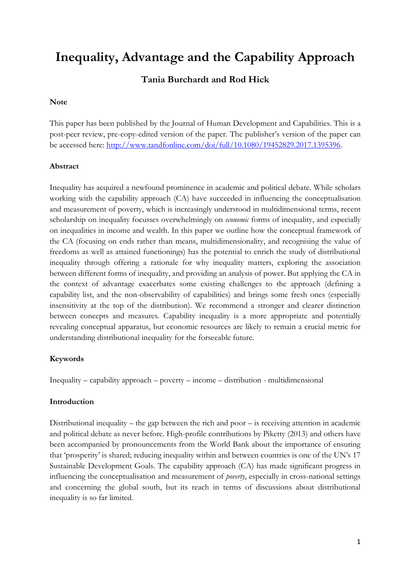# **Inequality, Advantage and the Capability Approach**

**Tania Burchardt and Rod Hick** 

#### **Note**

This paper has been published by the Journal of Human Development and Capabilities. This is a post-peer review, pre-copy-edited version of the paper. The publisher's version of the paper can be accessed here: [http://www.tandfonline.com/doi/full/10.1080/19452829.2017.1395396.](http://www.tandfonline.com/doi/full/10.1080/19452829.2017.1395396)

#### **Abstract**

Inequality has acquired a newfound prominence in academic and political debate. While scholars working with the capability approach (CA) have succeeded in influencing the conceptualisation and measurement of poverty, which is increasingly understood in multidimensional terms, recent scholarship on inequality focusses overwhelmingly on *economic* forms of inequality, and especially on inequalities in income and wealth. In this paper we outline how the conceptual framework of the CA (focusing on ends rather than means, multidimensionality, and recognising the value of freedoms as well as attained functionings) has the potential to enrich the study of distributional inequality through offering a rationale for why inequality matters, exploring the association between different forms of inequality, and providing an analysis of power. But applying the CA in the context of advantage exacerbates some existing challenges to the approach (defining a capability list, and the non-observability of capabilities) and brings some fresh ones (especially insensitivity at the top of the distribution). We recommend a stronger and clearer distinction between concepts and measures. Capability inequality is a more appropriate and potentially revealing conceptual apparatus, but economic resources are likely to remain a crucial metric for understanding distributional inequality for the forseeable future.

#### **Keywords**

Inequality – capability approach – poverty – income – distribution - multidimensional

#### **Introduction**

Distributional inequality – the gap between the rich and poor – is receiving attention in academic and political debate as never before. High-profile contributions by Piketty (2013) and others have been accompanied by pronouncements from the World Bank about the importance of ensuring that 'prosperity' is shared; reducing inequality within and between countries is one of the UN's 17 Sustainable Development Goals. The capability approach (CA) has made significant progress in influencing the conceptualisation and measurement of *poverty*, especially in cross-national settings and concerning the global south, but its reach in terms of discussions about distributional inequality is so far limited.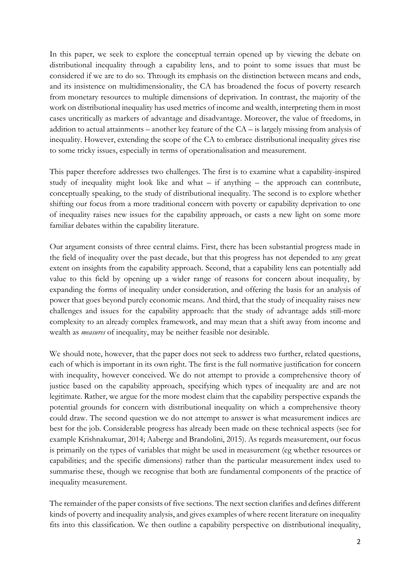In this paper, we seek to explore the conceptual terrain opened up by viewing the debate on distributional inequality through a capability lens, and to point to some issues that must be considered if we are to do so. Through its emphasis on the distinction between means and ends, and its insistence on multidimensionality, the CA has broadened the focus of poverty research from monetary resources to multiple dimensions of deprivation. In contrast, the majority of the work on distributional inequality has used metrics of income and wealth, interpreting them in most cases uncritically as markers of advantage and disadvantage. Moreover, the value of freedoms, in addition to actual attainments – another key feature of the CA – is largely missing from analysis of inequality. However, extending the scope of the CA to embrace distributional inequality gives rise to some tricky issues, especially in terms of operationalisation and measurement.

This paper therefore addresses two challenges. The first is to examine what a capability-inspired study of inequality might look like and what – if anything – the approach can contribute, conceptually speaking, to the study of distributional inequality. The second is to explore whether shifting our focus from a more traditional concern with poverty or capability deprivation to one of inequality raises new issues for the capability approach, or casts a new light on some more familiar debates within the capability literature.

Our argument consists of three central claims. First, there has been substantial progress made in the field of inequality over the past decade, but that this progress has not depended to any great extent on insights from the capability approach. Second, that a capability lens can potentially add value to this field by opening up a wider range of reasons for concern about inequality, by expanding the forms of inequality under consideration, and offering the basis for an analysis of power that goes beyond purely economic means. And third, that the study of inequality raises new challenges and issues for the capability approach: that the study of advantage adds still-more complexity to an already complex framework, and may mean that a shift away from income and wealth as *measures* of inequality, may be neither feasible nor desirable.

We should note, however, that the paper does not seek to address two further, related questions, each of which is important in its own right. The first is the full normative justification for concern with inequality, however conceived. We do not attempt to provide a comprehensive theory of justice based on the capability approach, specifying which types of inequality are and are not legitimate. Rather, we argue for the more modest claim that the capability perspective expands the potential grounds for concern with distributional inequality on which a comprehensive theory could draw. The second question we do not attempt to answer is what measurement indices are best for the job. Considerable progress has already been made on these technical aspects (see for example Krishnakumar, 2014; Aaberge and Brandolini, 2015). As regards measurement, our focus is primarily on the types of variables that might be used in measurement (eg whether resources or capabilities; and the specific dimensions) rather than the particular measurement index used to summarise these, though we recognise that both are fundamental components of the practice of inequality measurement.

The remainder of the paper consists of five sections. The next section clarifies and defines different kinds of poverty and inequality analysis, and gives examples of where recent literature on inequality fits into this classification. We then outline a capability perspective on distributional inequality,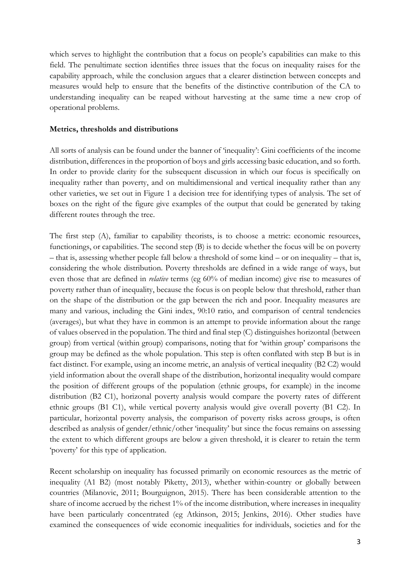which serves to highlight the contribution that a focus on people's capabilities can make to this field. The penultimate section identifies three issues that the focus on inequality raises for the capability approach, while the conclusion argues that a clearer distinction between concepts and measures would help to ensure that the benefits of the distinctive contribution of the CA to understanding inequality can be reaped without harvesting at the same time a new crop of operational problems.

#### **Metrics, thresholds and distributions**

All sorts of analysis can be found under the banner of 'inequality': Gini coefficients of the income distribution, differences in the proportion of boys and girls accessing basic education, and so forth. In order to provide clarity for the subsequent discussion in which our focus is specifically on inequality rather than poverty, and on multidimensional and vertical inequality rather than any other varieties, we set out in Figure 1 a decision tree for identifying types of analysis. The set of boxes on the right of the figure give examples of the output that could be generated by taking different routes through the tree.

The first step (A), familiar to capability theorists, is to choose a metric: economic resources, functionings, or capabilities. The second step (B) is to decide whether the focus will be on poverty – that is, assessing whether people fall below a threshold of some kind – or on inequality – that is, considering the whole distribution. Poverty thresholds are defined in a wide range of ways, but even those that are defined in *relative* terms (eg 60% of median income) give rise to measures of poverty rather than of inequality, because the focus is on people below that threshold, rather than on the shape of the distribution or the gap between the rich and poor. Inequality measures are many and various, including the Gini index, 90:10 ratio, and comparison of central tendencies (averages), but what they have in common is an attempt to provide information about the range of values observed in the population. The third and final step (C) distinguishes horizontal (between group) from vertical (within group) comparisons, noting that for 'within group' comparisons the group may be defined as the whole population. This step is often conflated with step B but is in fact distinct. For example, using an income metric, an analysis of vertical inequality (B2 C2) would yield information about the overall shape of the distribution, horizontal inequality would compare the position of different groups of the population (ethnic groups, for example) in the income distribution (B2 C1), horizonal poverty analysis would compare the poverty rates of different ethnic groups (B1 C1), while vertical poverty analysis would give overall poverty (B1 C2). In particular, horizontal poverty analysis, the comparison of poverty risks across groups, is often described as analysis of gender/ethnic/other 'inequality' but since the focus remains on assessing the extent to which different groups are below a given threshold, it is clearer to retain the term 'poverty' for this type of application.

Recent scholarship on inequality has focussed primarily on economic resources as the metric of inequality (A1 B2) (most notably Piketty, 2013), whether within-country or globally between countries (Milanovic, 2011; Bourguignon, 2015). There has been considerable attention to the share of income accrued by the richest 1% of the income distribution, where increases in inequality have been particularly concentrated (eg Atkinson, 2015; Jenkins, 2016). Other studies have examined the consequences of wide economic inequalities for individuals, societies and for the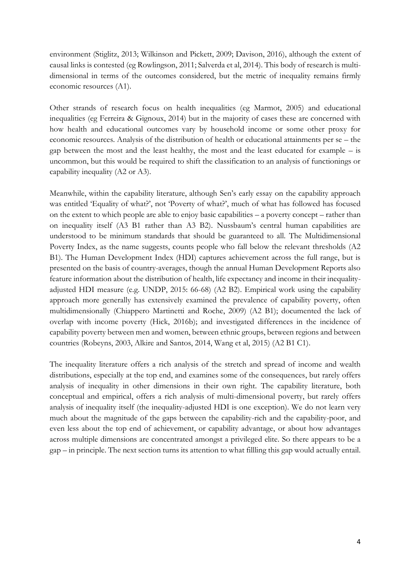environment (Stiglitz, 2013; Wilkinson and Pickett, 2009; Davison, 2016), although the extent of causal links is contested (eg Rowlingson, 2011; Salverda et al, 2014). This body of research is multidimensional in terms of the outcomes considered, but the metric of inequality remains firmly economic resources (A1).

Other strands of research focus on health inequalities (eg Marmot, 2005) and educational inequalities (eg Ferreira & Gignoux, 2014) but in the majority of cases these are concerned with how health and educational outcomes vary by household income or some other proxy for economic resources. Analysis of the distribution of health or educational attainments per se – the gap between the most and the least healthy, the most and the least educated for example – is uncommon, but this would be required to shift the classification to an analysis of functionings or capability inequality (A2 or A3).

Meanwhile, within the capability literature, although Sen's early essay on the capability approach was entitled 'Equality of what?', not 'Poverty of what?', much of what has followed has focused on the extent to which people are able to enjoy basic capabilities – a poverty concept – rather than on inequality itself (A3 B1 rather than A3 B2). Nussbaum's central human capabilities are understood to be minimum standards that should be guaranteed to all. The Multidimensional Poverty Index, as the name suggests, counts people who fall below the relevant thresholds (A2 B1). The Human Development Index (HDI) captures achievement across the full range, but is presented on the basis of country-averages, though the annual Human Development Reports also feature information about the distribution of health, life expectancy and income in their inequalityadjusted HDI measure (e.g. UNDP, 2015: 66-68) (A2 B2). Empirical work using the capability approach more generally has extensively examined the prevalence of capability poverty, often multidimensionally (Chiappero Martinetti and Roche, 2009) (A2 B1); documented the lack of overlap with income poverty (Hick, 2016b); and investigated differences in the incidence of capability poverty between men and women, between ethnic groups, between regions and between countries (Robeyns, 2003, Alkire and Santos, 2014, Wang et al, 2015) (A2 B1 C1).

The inequality literature offers a rich analysis of the stretch and spread of income and wealth distributions, especially at the top end, and examines some of the consequences, but rarely offers analysis of inequality in other dimensions in their own right. The capability literature, both conceptual and empirical, offers a rich analysis of multi-dimensional poverty, but rarely offers analysis of inequality itself (the inequality-adjusted HDI is one exception). We do not learn very much about the magnitude of the gaps between the capability-rich and the capability-poor, and even less about the top end of achievement, or capability advantage, or about how advantages across multiple dimensions are concentrated amongst a privileged elite. So there appears to be a gap – in principle. The next section turns its attention to what fillling this gap would actually entail.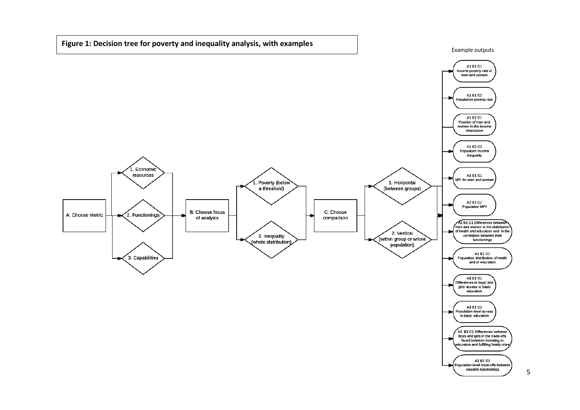

5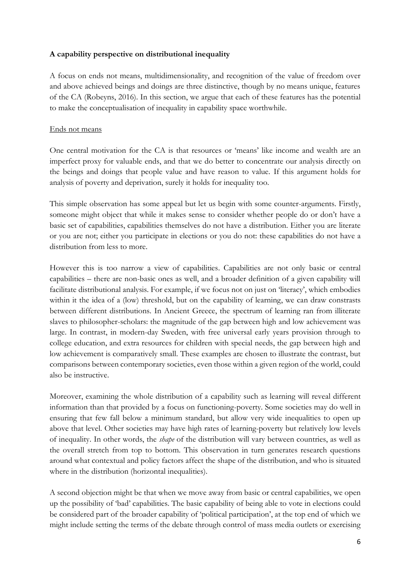### **A capability perspective on distributional inequality**

A focus on ends not means, multidimensionality, and recognition of the value of freedom over and above achieved beings and doings are three distinctive, though by no means unique, features of the CA (Robeyns, 2016). In this section, we argue that each of these features has the potential to make the conceptualisation of inequality in capability space worthwhile.

#### Ends not means

One central motivation for the CA is that resources or 'means' like income and wealth are an imperfect proxy for valuable ends, and that we do better to concentrate our analysis directly on the beings and doings that people value and have reason to value. If this argument holds for analysis of poverty and deprivation, surely it holds for inequality too.

This simple observation has some appeal but let us begin with some counter-arguments. Firstly, someone might object that while it makes sense to consider whether people do or don't have a basic set of capabilities, capabilities themselves do not have a distribution. Either you are literate or you are not; either you participate in elections or you do not: these capabilities do not have a distribution from less to more.

However this is too narrow a view of capabilities. Capabilities are not only basic or central capabilities – there are non-basic ones as well, and a broader definition of a given capability will facilitate distributional analysis. For example, if we focus not on just on 'literacy', which embodies within it the idea of a (low) threshold, but on the capability of learning, we can draw constrasts between different distributions. In Ancient Greece, the spectrum of learning ran from illiterate slaves to philosopher-scholars: the magnitude of the gap between high and low achievement was large. In contrast, in modern-day Sweden, with free universal early years provision through to college education, and extra resources for children with special needs, the gap between high and low achievement is comparatively small. These examples are chosen to illustrate the contrast, but comparisons between contemporary societies, even those within a given region of the world, could also be instructive.

Moreover, examining the whole distribution of a capability such as learning will reveal different information than that provided by a focus on functioning-poverty. Some societies may do well in ensuring that few fall below a minimum standard, but allow very wide inequalities to open up above that level. Other societies may have high rates of learning-poverty but relatively low levels of inequality. In other words, the *shape* of the distribution will vary between countries, as well as the overall stretch from top to bottom. This observation in turn generates research questions around what contextual and policy factors affect the shape of the distribution, and who is situated where in the distribution (horizontal inequalities).

A second objection might be that when we move away from basic or central capabilities, we open up the possibility of 'bad' capabilities. The basic capability of being able to vote in elections could be considered part of the broader capability of 'political participation', at the top end of which we might include setting the terms of the debate through control of mass media outlets or exercising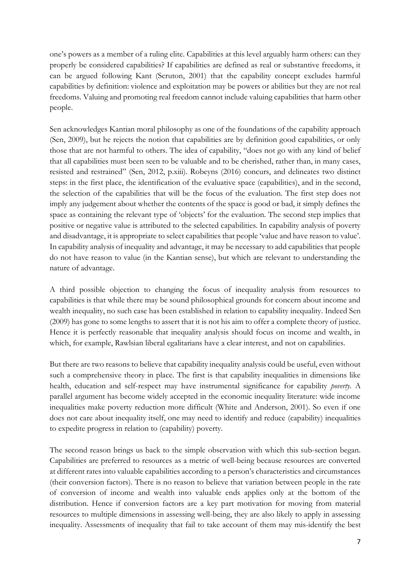one's powers as a member of a ruling elite. Capabilities at this level arguably harm others: can they properly be considered capabilities? If capabilities are defined as real or substantive freedoms, it can be argued following Kant (Scruton, 2001) that the capability concept excludes harmful capabilities by definition: violence and exploitation may be powers or abilities but they are not real freedoms. Valuing and promoting real freedom cannot include valuing capabilities that harm other people.

Sen acknowledges Kantian moral philosophy as one of the foundations of the capability approach (Sen, 2009), but he rejects the notion that capabilities are by definition good capabilities, or only those that are not harmful to others. The idea of capability, "does not go with any kind of belief that all capabilities must been seen to be valuable and to be cherished, rather than, in many cases, resisted and restrained" (Sen, 2012, p.xiii). Robeyns (2016) concurs, and delineates two distinct steps: in the first place, the identification of the evaluative space (capabilities), and in the second, the selection of the capabilities that will be the focus of the evaluation. The first step does not imply any judgement about whether the contents of the space is good or bad, it simply defines the space as containing the relevant type of 'objects' for the evaluation. The second step implies that positive or negative value is attributed to the selected capabilities. In capability analysis of poverty and disadvantage, it is appropriate to select capabilities that people 'value and have reason to value'. In capability analysis of inequality and advantage, it may be necessary to add capabilities that people do not have reason to value (in the Kantian sense), but which are relevant to understanding the nature of advantage.

A third possible objection to changing the focus of inequality analysis from resources to capabilities is that while there may be sound philosophical grounds for concern about income and wealth inequality, no such case has been established in relation to capability inequality. Indeed Sen (2009) has gone to some lengths to assert that it is not his aim to offer a complete theory of justice. Hence it is perfectly reasonable that inequality analysis should focus on income and wealth, in which, for example, Rawlsian liberal egalitarians have a clear interest, and not on capabilities.

But there are two reasons to believe that capability inequality analysis could be useful, even without such a comprehensive theory in place. The first is that capability inequalities in dimensions like health, education and self-respect may have instrumental significance for capability *poverty*. A parallel argument has become widely accepted in the economic inequality literature: wide income inequalities make poverty reduction more difficult (White and Anderson, 2001). So even if one does not care about inequality itself, one may need to identify and reduce (capability) inequalities to expedite progress in relation to (capability) poverty.

The second reason brings us back to the simple observation with which this sub-section began. Capabilities are preferred to resources as a metric of well-being because resources are converted at different rates into valuable capabilities according to a person's characteristics and circumstances (their conversion factors). There is no reason to believe that variation between people in the rate of conversion of income and wealth into valuable ends applies only at the bottom of the distribution. Hence if conversion factors are a key part motivation for moving from material resources to multiple dimensions in assessing well-being, they are also likely to apply in assessing inequality. Assessments of inequality that fail to take account of them may mis-identify the best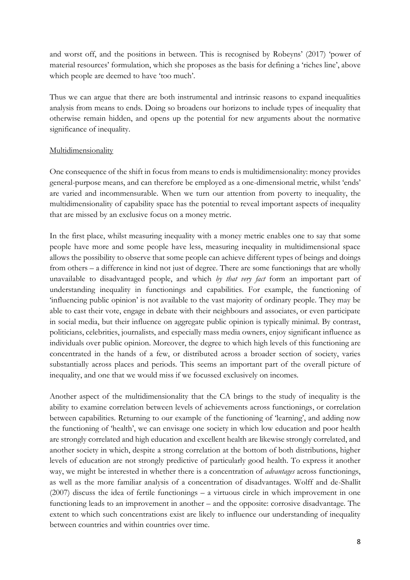and worst off, and the positions in between. This is recognised by Robeyns' (2017) 'power of material resources' formulation, which she proposes as the basis for defining a 'riches line', above which people are deemed to have 'too much'.

Thus we can argue that there are both instrumental and intrinsic reasons to expand inequalities analysis from means to ends. Doing so broadens our horizons to include types of inequality that otherwise remain hidden, and opens up the potential for new arguments about the normative significance of inequality.

#### Multidimensionality

One consequence of the shift in focus from means to ends is multidimensionality: money provides general-purpose means, and can therefore be employed as a one-dimensional metric, whilst 'ends' are varied and incommensurable. When we turn our attention from poverty to inequality, the multidimensionality of capability space has the potential to reveal important aspects of inequality that are missed by an exclusive focus on a money metric.

In the first place, whilst measuring inequality with a money metric enables one to say that some people have more and some people have less, measuring inequality in multidimensional space allows the possibility to observe that some people can achieve different types of beings and doings from others – a difference in kind not just of degree. There are some functionings that are wholly unavailable to disadvantaged people, and which *by that very fact* form an important part of understanding inequality in functionings and capabilities. For example, the functioning of 'influencing public opinion' is not available to the vast majority of ordinary people. They may be able to cast their vote, engage in debate with their neighbours and associates, or even participate in social media, but their influence on aggregate public opinion is typically minimal. By contrast, politicians, celebrities, journalists, and especially mass media owners, enjoy significant influence as individuals over public opinion. Moreover, the degree to which high levels of this functioning are concentrated in the hands of a few, or distributed across a broader section of society, varies substantially across places and periods. This seems an important part of the overall picture of inequality, and one that we would miss if we focussed exclusively on incomes.

Another aspect of the multidimensionality that the CA brings to the study of inequality is the ability to examine correlation between levels of achievements across functionings, or correlation between capabilities. Returning to our example of the functioning of 'learning', and adding now the functioning of 'health', we can envisage one society in which low education and poor health are strongly correlated and high education and excellent health are likewise strongly correlated, and another society in which, despite a strong correlation at the bottom of both distributions, higher levels of education are not strongly predictive of particularly good health. To express it another way, we might be interested in whether there is a concentration of *advantages* across functionings, as well as the more familiar analysis of a concentration of disadvantages. Wolff and de-Shallit (2007) discuss the idea of fertile functionings – a virtuous circle in which improvement in one functioning leads to an improvement in another – and the opposite: corrosive disadvantage. The extent to which such concentrations exist are likely to influence our understanding of inequality between countries and within countries over time.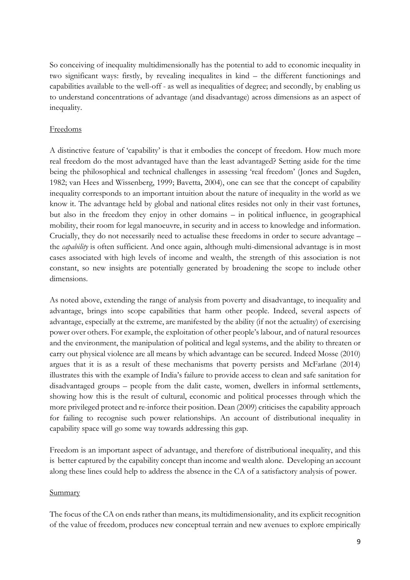So conceiving of inequality multidimensionally has the potential to add to economic inequality in two significant ways: firstly, by revealing inequalites in kind – the different functionings and capabilities available to the well-off - as well as inequalities of degree; and secondly, by enabling us to understand concentrations of advantage (and disadvantage) across dimensions as an aspect of inequality.

#### Freedoms

A distinctive feature of 'capability' is that it embodies the concept of freedom. How much more real freedom do the most advantaged have than the least advantaged? Setting aside for the time being the philosophical and technical challenges in assessing 'real freedom' (Jones and Sugden, 1982; van Hees and Wissenberg, 1999; Bavetta, 2004), one can see that the concept of capability inequality corresponds to an important intuition about the nature of inequality in the world as we know it. The advantage held by global and national elites resides not only in their vast fortunes, but also in the freedom they enjoy in other domains – in political influence, in geographical mobility, their room for legal manoeuvre, in security and in access to knowledge and information. Crucially, they do not necessarily need to actualise these freedoms in order to secure advantage – the *capability* is often sufficient. And once again, although multi-dimensional advantage is in most cases associated with high levels of income and wealth, the strength of this association is not constant, so new insights are potentially generated by broadening the scope to include other dimensions.

As noted above, extending the range of analysis from poverty and disadvantage, to inequality and advantage, brings into scope capabilities that harm other people. Indeed, several aspects of advantage, especially at the extreme, are manifested by the ability (if not the actuality) of exercising power over others. For example, the exploitation of other people's labour, and of natural resources and the environment, the manipulation of political and legal systems, and the ability to threaten or carry out physical violence are all means by which advantage can be secured. Indeed Mosse (2010) argues that it is as a result of these mechanisms that poverty persists and McFarlane (2014) illustrates this with the example of India's failure to provide access to clean and safe sanitation for disadvantaged groups – people from the dalit caste, women, dwellers in informal settlements, showing how this is the result of cultural, economic and political processes through which the more privileged protect and re-inforce their position. Dean (2009) criticises the capability approach for failing to recognise such power relationships. An account of distributional inequality in capability space will go some way towards addressing this gap.

Freedom is an important aspect of advantage, and therefore of distributional inequality, and this is better captured by the capability concept than income and wealth alone. Developing an account along these lines could help to address the absence in the CA of a satisfactory analysis of power.

#### **Summary**

The focus of the CA on ends rather than means, its multidimensionality, and its explicit recognition of the value of freedom, produces new conceptual terrain and new avenues to explore empirically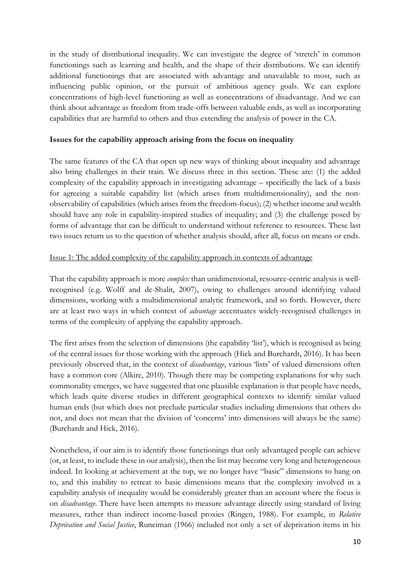in the study of distributional inequality. We can investigate the degree of 'stretch' in common functionings such as learning and health, and the shape of their distributions. We can identify additional functionings that are associated with advantage and unavailable to most, such as influencing public opinion, or the pursuit of ambitious agency goals. We can explore concentrations of high-level functioning as well as concentrations of disadvantage. And we can think about advantage as freedom from trade-offs between valuable ends, as well as incorporating capabilities that are harmful to others and thus extending the analysis of power in the CA.

#### **Issues for the capability approach arising from the focus on inequality**

The same features of the CA that open up new ways of thinking about inequality and advantage also bring challenges in their train. We discuss three in this section. These are: (1) the added complexity of the capability approach in investigating advantage – specifically the lack of a basis for agreeing a suitable capability list (which arises from multidimensionality), and the nonobservability of capabilities (which arises from the freedom-focus); (2) whether income and wealth should have any role in capability-inspired studies of inequality; and (3) the challenge posed by forms of advantage that can be difficult to understand without reference to resources. These last two issues return us to the question of whether analysis should, after all, focus on means or ends.

#### Issue 1: The added complexity of the capability approach in contexts of advantage

That the capability approach is more *complex* than unidimensional, resource-centric analysis is wellrecognised (e.g. Wolff and de-Shalit, 2007), owing to challenges around identifying valued dimensions, working with a multidimensional analytic framework, and so forth. However, there are at least two ways in which context of *advantage* accentuates widely-recognised challenges in terms of the complexity of applying the capability approach.

The first arises from the selection of dimensions (the capability 'list'), which is recognised as being of the central issues for those working with the approach (Hick and Burchardt, 2016). It has been previously observed that, in the context of *disadvantage*, various 'lists' of valued dimensions often have a common core (Alkire, 2010). Though there may be competing explanations for why such commonality emerges, we have suggested that one plausible explanation is that people have needs, which leads quite diverse studies in different geographical contexts to identify similar valued human ends (but which does not preclude particular studies including dimensions that others do not, and does not mean that the division of 'concerns' into dimensions will always be the same) (Burchardt and Hick, 2016).

Nonetheless, if our aim is to identify those functionings that only advantaged people can achieve (or, at least, to include these in our analysis), then the list may become very long and heterogeneous indeed. In looking at achievement at the top, we no longer have "basic" dimensions to hang on to, and this inability to retreat to basic dimensions means that the complexity involved in a capability analysis of inequality would be considerably greater than an account where the focus is on *disadvantage*. There have been attempts to measure advantage directly using standard of living measures, rather than indirect income-based proxies (Ringen, 1988). For example, in *Relative Deprivation and Social Justice*, Runciman (1966) included not only a set of deprivation items in his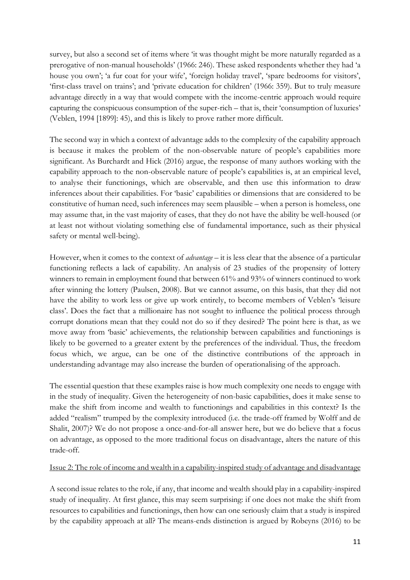survey, but also a second set of items where 'it was thought might be more naturally regarded as a prerogative of non-manual households' (1966: 246). These asked respondents whether they had 'a house you own'; 'a fur coat for your wife', 'foreign holiday travel', 'spare bedrooms for visitors', 'first-class travel on trains'; and 'private education for children' (1966: 359). But to truly measure advantage directly in a way that would compete with the income-centric approach would require capturing the conspicuous consumption of the super-rich – that is, their 'consumption of luxuries' (Veblen, 1994 [1899]: 45), and this is likely to prove rather more difficult.

The second way in which a context of advantage adds to the complexity of the capability approach is because it makes the problem of the non-observable nature of people's capabilities more significant. As Burchardt and Hick (2016) argue, the response of many authors working with the capability approach to the non-observable nature of people's capabilities is, at an empirical level, to analyse their functionings, which are observable, and then use this information to draw inferences about their capabilities. For 'basic' capabilities or dimensions that are considered to be constitutive of human need, such inferences may seem plausible – when a person is homeless, one may assume that, in the vast majority of cases, that they do not have the ability be well-housed (or at least not without violating something else of fundamental importance, such as their physical safety or mental well-being).

However, when it comes to the context of *advantage* – it is less clear that the absence of a particular functioning reflects a lack of capability. An analysis of 23 studies of the propensity of lottery winners to remain in employment found that between 61% and 93% of winners continued to work after winning the lottery (Paulsen, 2008). But we cannot assume, on this basis, that they did not have the ability to work less or give up work entirely, to become members of Veblen's 'leisure class'. Does the fact that a millionaire has not sought to influence the political process through corrupt donations mean that they could not do so if they desired? The point here is that, as we move away from 'basic' achievements, the relationship between capabilities and functionings is likely to be governed to a greater extent by the preferences of the individual. Thus, the freedom focus which, we argue, can be one of the distinctive contributions of the approach in understanding advantage may also increase the burden of operationalising of the approach.

The essential question that these examples raise is how much complexity one needs to engage with in the study of inequality. Given the heterogeneity of non-basic capabilities, does it make sense to make the shift from income and wealth to functionings and capabilities in this context? Is the added "realism" trumped by the complexity introduced (i.e. the trade-off framed by Wolff and de Shalit, 2007)? We do not propose a once-and-for-all answer here, but we do believe that a focus on advantage, as opposed to the more traditional focus on disadvantage, alters the nature of this trade-off.

#### Issue 2: The role of income and wealth in a capability-inspired study of advantage and disadvantage

A second issue relates to the role, if any, that income and wealth should play in a capability-inspired study of inequality. At first glance, this may seem surprising: if one does not make the shift from resources to capabilities and functionings, then how can one seriously claim that a study is inspired by the capability approach at all? The means-ends distinction is argued by Robeyns (2016) to be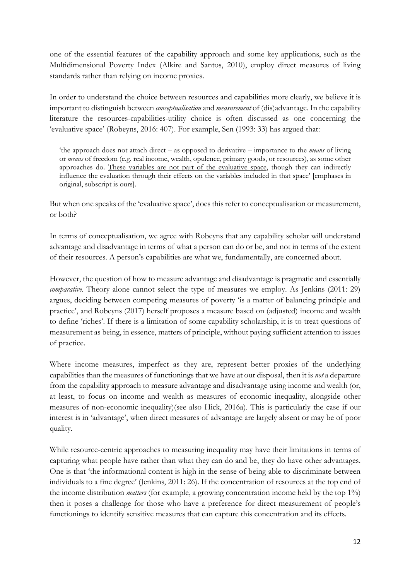one of the essential features of the capability approach and some key applications, such as the Multidimensional Poverty Index (Alkire and Santos, 2010), employ direct measures of living standards rather than relying on income proxies.

In order to understand the choice between resources and capabilities more clearly, we believe it is important to distinguish between *conceptualisation* and *measurement* of (dis)advantage. In the capability literature the resources-capabilities-utility choice is often discussed as one concerning the 'evaluative space' (Robeyns, 2016: 407). For example, Sen (1993: 33) has argued that:

'the approach does not attach direct – as opposed to derivative – importance to the *means* of living or *means* of freedom (e.g. real income, wealth, opulence, primary goods, or resources), as some other approaches do. These variables are not part of the evaluative space, though they can indirectly influence the evaluation through their effects on the variables included in that space' [emphases in original, subscript is ours].

But when one speaks of the 'evaluative space', does this refer to conceptualisation or measurement, or both?

In terms of conceptualisation, we agree with Robeyns that any capability scholar will understand advantage and disadvantage in terms of what a person can do or be, and not in terms of the extent of their resources. A person's capabilities are what we, fundamentally, are concerned about.

However, the question of how to measure advantage and disadvantage is pragmatic and essentially *comparative.* Theory alone cannot select the type of measures we employ. As Jenkins (2011: 29) argues, deciding between competing measures of poverty 'is a matter of balancing principle and practice', and Robeyns (2017) herself proposes a measure based on (adjusted) income and wealth to define 'riches'. If there is a limitation of some capability scholarship, it is to treat questions of measurement as being, in essence, matters of principle, without paying sufficient attention to issues of practice.

Where income measures, imperfect as they are, represent better proxies of the underlying capabilities than the measures of functionings that we have at our disposal, then it is *not* a departure from the capability approach to measure advantage and disadvantage using income and wealth (or, at least, to focus on income and wealth as measures of economic inequality, alongside other measures of non-economic inequality)(see also Hick, 2016a). This is particularly the case if our interest is in 'advantage', when direct measures of advantage are largely absent or may be of poor quality.

While resource-centric approaches to measuring inequality may have their limitations in terms of capturing what people have rather than what they can do and be, they do have other advantages. One is that 'the informational content is high in the sense of being able to discriminate between individuals to a fine degree' (Jenkins, 2011: 26). If the concentration of resources at the top end of the income distribution *matters* (for example, a growing concentration income held by the top 1%) then it poses a challenge for those who have a preference for direct measurement of people's functionings to identify sensitive measures that can capture this concentration and its effects.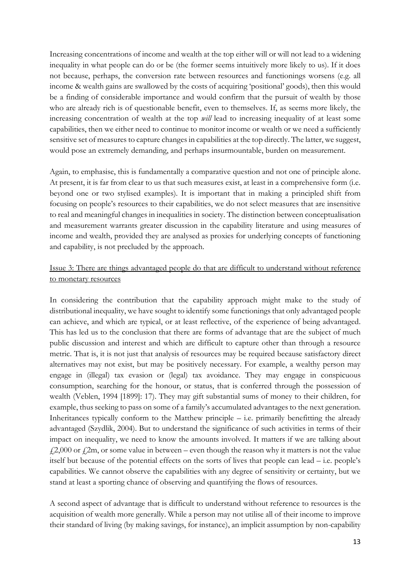Increasing concentrations of income and wealth at the top either will or will not lead to a widening inequality in what people can do or be (the former seems intuitively more likely to us). If it does not because, perhaps, the conversion rate between resources and functionings worsens (e.g. all income & wealth gains are swallowed by the costs of acquiring 'positional' goods), then this would be a finding of considerable importance and would confirm that the pursuit of wealth by those who are already rich is of questionable benefit, even to themselves. If, as seems more likely, the increasing concentration of wealth at the top *will* lead to increasing inequality of at least some capabilities, then we either need to continue to monitor income or wealth or we need a sufficiently sensitive set of measures to capture changes in capabilities at the top directly. The latter, we suggest, would pose an extremely demanding, and perhaps insurmountable, burden on measurement.

Again, to emphasise, this is fundamentally a comparative question and not one of principle alone. At present, it is far from clear to us that such measures exist, at least in a comprehensive form (i.e. beyond one or two stylised examples). It is important that in making a principled shift from focusing on people's resources to their capabilities, we do not select measures that are insensitive to real and meaningful changes in inequalities in society. The distinction between conceptualisation and measurement warrants greater discussion in the capability literature and using measures of income and wealth, provided they are analysed as proxies for underlying concepts of functioning and capability, is not precluded by the approach.

# Issue 3: There are things advantaged people do that are difficult to understand without reference to monetary resources

In considering the contribution that the capability approach might make to the study of distributional inequality, we have sought to identify some functionings that only advantaged people can achieve, and which are typical, or at least reflective, of the experience of being advantaged. This has led us to the conclusion that there are forms of advantage that are the subject of much public discussion and interest and which are difficult to capture other than through a resource metric. That is, it is not just that analysis of resources may be required because satisfactory direct alternatives may not exist, but may be positively necessary. For example, a wealthy person may engage in (illegal) tax evasion or (legal) tax avoidance. They may engage in conspicuous consumption, searching for the honour, or status, that is conferred through the possession of wealth (Veblen, 1994 [1899]: 17). They may gift substantial sums of money to their children, for example, thus seeking to pass on some of a family's accumulated advantages to the next generation. Inheritances typically conform to the Matthew principle  $-$  i.e. primarily benefitting the already advantaged (Szydlik, 2004). But to understand the significance of such activities in terms of their impact on inequality, we need to know the amounts involved. It matters if we are talking about  $\text{\emph{42,000}}$  or  $\text{\emph{42m}}$ , or some value in between – even though the reason why it matters is not the value itself but because of the potential effects on the sorts of lives that people can lead – i.e. people's capabilities. We cannot observe the capabilities with any degree of sensitivity or certainty, but we stand at least a sporting chance of observing and quantifying the flows of resources.

A second aspect of advantage that is difficult to understand without reference to resources is the acquisition of wealth more generally. While a person may not utilise all of their income to improve their standard of living (by making savings, for instance), an implicit assumption by non-capability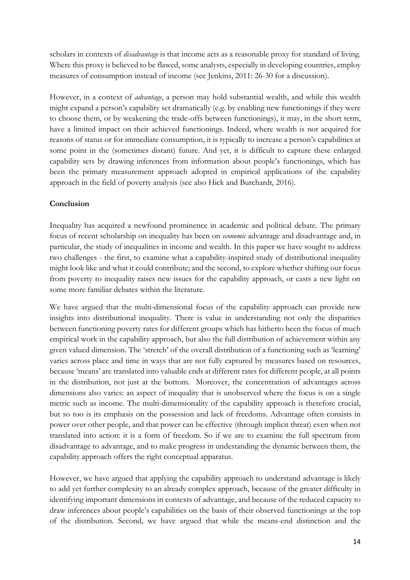scholars in contexts of *disadvantage* is that income acts as a reasonable proxy for standard of living. Where this proxy is believed to be flawed, some analysts, especially in developing countries, employ measures of consumption instead of income (see Jenkins, 2011: 26-30 for a discussion).

However, in a context of *advantage*, a person may hold substantial wealth, and while this wealth might expand a person's capability set dramatically (e.g. by enabling new functionings if they were to choose them, or by weakening the trade-offs between functionings), it may, in the short term, have a limited impact on their achieved functionings. Indeed, where wealth is not acquired for reasons of status or for immediate consumption, it is typically to increase a person's capabilities at some point in the (sometimes distant) future. And yet, it is difficult to capture these enlarged capability sets by drawing inferences from information about people's functionings, which has been the primary measurement approach adopted in empirical applications of the capability approach in the field of poverty analysis (see also Hick and Burchardt, 2016).

# **Conclusion**

Inequality has acquired a newfound prominence in academic and political debate. The primary focus of recent scholarship on inequality has been on *economic* advantage and disadvantage and, in particular, the study of inequalities in income and wealth. In this paper we have sought to address two challenges - the first, to examine what a capability-inspired study of distributional inequality might look like and what it could contribute; and the second, to explore whether shifting our focus from poverty to inequality raises new issues for the capability approach, or casts a new light on some more familiar debates within the literature.

We have argued that the multi-dimensional focus of the capability approach can provide new insights into distributional inequality. There is value in understanding not only the disparities between functioning poverty rates for different groups which has hitherto been the focus of much empirical work in the capability approach, but also the full distribution of achievement within any given valued dimension. The 'stretch' of the overall distribution of a functioning such as 'learning' varies across place and time in ways that are not fully captured by measures based on resources, because 'means' are translated into valuable ends at different rates for different people, at all points in the distribution, not just at the bottom. Moreover, the concentration of advantages across dimensions also varies: an aspect of inequality that is unobserved where the focus is on a single metric such as income. The multi-dimensionality of the capability approach is therefore crucial, but so too is its emphasis on the possession and lack of freedoms. Advantage often consists in power over other people, and that power can be effective (through implicit threat) even when not translated into action: it is a form of freedom. So if we are to examine the full spectrum from disadvantage to advantage, and to make progress in undestanding the dynamic between them, the capability approach offers the right conceptual apparatus.

However, we have argued that applying the capability approach to understand advantage is likely to add yet further complexity to an already complex approach, because of the greater difficulty in identifying important dimensions in contexts of advantage, and because of the reduced capacity to draw inferences about people's capabilities on the basis of their observed functionings at the top of the distribution. Second, we have argued that while the means-end distinction and the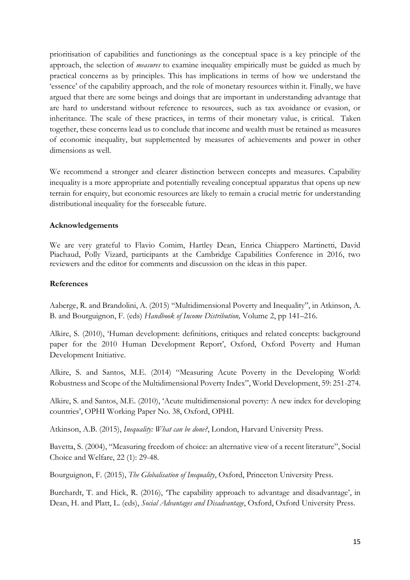prioritisation of capabilities and functionings as the conceptual space is a key principle of the approach, the selection of *measures* to examine inequality empirically must be guided as much by practical concerns as by principles. This has implications in terms of how we understand the 'essence' of the capability approach, and the role of monetary resources within it. Finally, we have argued that there are some beings and doings that are important in understanding advantage that are hard to understand without reference to resources, such as tax avoidance or evasion, or inheritance. The scale of these practices, in terms of their monetary value, is critical. Taken together, these concerns lead us to conclude that income and wealth must be retained as measures of economic inequality, but supplemented by measures of achievements and power in other dimensions as well.

We recommend a stronger and clearer distinction between concepts and measures. Capability inequality is a more appropriate and potentially revealing conceptual apparatus that opens up new terrain for enquiry, but economic resources are likely to remain a crucial metric for understanding distributional inequality for the forseeable future.

#### **Acknowledgements**

We are very grateful to Flavio Comim, Hartley Dean, Enrica Chiappero Martinetti, David Piachaud, Polly Vizard, participants at the Cambridge Capabilities Conference in 2016, two reviewers and the editor for comments and discussion on the ideas in this paper.

#### **References**

Aaberge, R. and Brandolini, A. (2015) "Multidimensional Poverty and Inequality", in Atkinson, A. B. and Bourguignon, F. (eds) *Handbook of Income Distribution,* Volume 2, pp 141–216.

Alkire, S. (2010), 'Human development: definitions, critiques and related concepts: background paper for the 2010 Human Development Report', Oxford, Oxford Poverty and Human Development Initiative.

Alkire, S. and Santos, M.E. (2014) "Measuring Acute Poverty in the Developing World: Robustness and Scope of the Multidimensional Poverty Index", World Development, 59: 251-274.

Alkire, S. and Santos, M.E. (2010), 'Acute multidimensional poverty: A new index for developing countries', OPHI Working Paper No. 38, Oxford, OPHI.

Atkinson, A.B. (2015), *Inequality: What can be done?*, London, Harvard University Press.

Bavetta, S. (2004), "Measuring freedom of choice: an alternative view of a recent literature", Social Choice and Welfare, 22 (1): 29-48.

Bourguignon, F. (2015), *The Globalisation of Inequality*, Oxford, Princeton University Press.

Burchardt, T. and Hick, R. (2016), 'The capability approach to advantage and disadvantage', in Dean, H. and Platt, L. (eds), *Social Advantages and Disadvantage*, Oxford, Oxford University Press.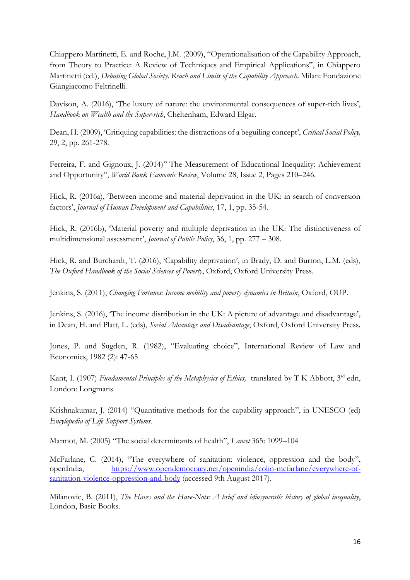Chiappero Martinetti, E. and Roche, J.M. (2009), "Operationalisation of the Capability Approach, from Theory to Practice: A Review of Techniques and Empirical Applications", in Chiappero Martinetti (ed.), *Debating Global Society. Reach and Limits of the Capability Approach,* Milan: Fondazione Giangiacomo Feltrinelli.

Davison, A. (2016), 'The luxury of nature: the environmental consequences of super-rich lives', *Handbook on Wealth and the Super-rich*, Cheltenham, Edward Elgar.

Dean, H. (2009), 'Critiquing capabilities: the distractions of a beguiling concept', *Critical Social Policy,* 29, 2, pp. 261-278.

Ferreira, F. and Gignoux, J. (2014)" The Measurement of Educational Inequality: Achievement and Opportunity", *World Bank Economic Review*, Volume 28, Issue 2, Pages 210–246.

Hick, R. (2016a), 'Between income and material deprivation in the UK: in search of conversion factors', *Journal of Human Development and Capabilities*, 17, 1, pp. 35-54.

Hick, R. (2016b), 'Material poverty and multiple deprivation in the UK: The distinctiveness of multidimensional assessment', *Journal of Public Policy*, 36, 1, pp. 277 – 308.

Hick, R. and Burchardt, T. (2016), 'Capability deprivation', in Brady, D. and Burton, L.M. (eds), *The Oxford Handbook of the Social Sciences of Poverty*, Oxford, Oxford University Press.

Jenkins, S. (2011), *Changing Fortunes: Income mobility and poverty dynamics in Britain*, Oxford, OUP.

Jenkins, S. (2016), 'The income distribution in the UK: A picture of advantage and disadvantage', in Dean, H. and Platt, L. (eds), *Social Advantage and Disadvantage*, Oxford, Oxford University Press.

Jones, P. and Sugden, R. (1982), "Evaluating choice", International Review of Law and Economics, 1982 (2): 47-65

Kant, I. (1907) *Fundamental Principles of the Metaphysics of Ethics*, translated by T K Abbott, 3<sup>rd</sup> edn, London: Longmans

Krishnakumar, J. (2014) "Quantitative methods for the capability approach", in UNESCO (ed) *Encylopedia of Life Support Systems.*

Marmot, M. (2005) "The social determinants of health", *Lancet* 365: 1099–104

McFarlane, C. (2014), "The everywhere of sanitation: violence, oppression and the body", openIndia, [https://www.opendemocracy.net/openindia/colin-mcfarlane/everywhere-of](https://www.opendemocracy.net/openindia/colin-mcfarlane/everywhere-of-sanitation-violence-oppression-and-body)[sanitation-violence-oppression-and-body](https://www.opendemocracy.net/openindia/colin-mcfarlane/everywhere-of-sanitation-violence-oppression-and-body) (accessed 9th August 2017).

Milanovic, B. (2011), *The Haves and the Have-Nots: A brief and idiosyncratic history of global inequality*, London, Basic Books.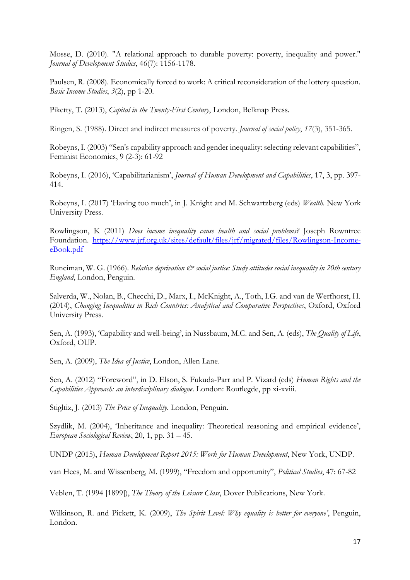Mosse, D. (2010). "A relational approach to durable poverty: poverty, inequality and power." *Journal of Development Studies*, 46(7): 1156-1178.

Paulsen, R. (2008). Economically forced to work: A critical reconsideration of the lottery question. *Basic Income Studies*, *3*(2), pp 1-20.

Piketty, T. (2013), *Capital in the Twenty-First Century*, London, Belknap Press.

Ringen, S. (1988). Direct and indirect measures of poverty. *Journal of social policy*, *17*(3), 351-365.

Robeyns, I. (2003) "Sen's capability approach and gender inequality: selecting relevant capabilities", Feminist Economics, 9 (2-3): 61-92

Robeyns, I. (2016), 'Capabilitarianism', *Journal of Human Development and Capabilities*, 17, 3, pp. 397- 414.

Robeyns, I. (2017) 'Having too much', in J. Knight and M. Schwartzberg (eds) *Wealth.* New York University Press.

Rowlingson, K (2011) *Does income inequality cause health and social problems?* Joseph Rowntree Foundation. [https://www.jrf.org.uk/sites/default/files/jrf/migrated/files/Rowlingson-Income](https://www.jrf.org.uk/sites/default/files/jrf/migrated/files/Rowlingson-Income-eBook.pdf)[eBook.pdf](https://www.jrf.org.uk/sites/default/files/jrf/migrated/files/Rowlingson-Income-eBook.pdf)

Runciman, W. G. (1966). *Relative deprivation*  $\mathcal{C}^*$  *social justice: Study attitudes social inequality in 20th century England*, London, Penguin.

Salverda, W., Nolan, B., Checchi, D., Marx, I., McKnight, A., Toth, I.G. and van de Werfhorst, H. (2014), *Changing Inequalities in Rich Countries: Analytical and Comparative Perspectives*, Oxford, Oxford University Press.

Sen, A. (1993), 'Capability and well-being', in Nussbaum, M.C. and Sen, A. (eds), *The Quality of Life*, Oxford, OUP.

Sen, A. (2009), *The Idea of Justice*, London, Allen Lane.

Sen, A. (2012) "Foreword", in D. Elson, S. Fukuda-Parr and P. Vizard (eds) *Human Rights and the Capabilities Approach: an interdisciplinary dialogue*. London: Routlegde, pp xi-xviii.

Stigltiz, J. (2013) *The Price of Inequality*. London, Penguin.

Szydlik, M. (2004), 'Inheritance and inequality: Theoretical reasoning and empirical evidence', *European Sociological Review*, 20, 1, pp. 31 – 45.

UNDP (2015), *Human Development Report 2015: Work for Human Development*, New York, UNDP.

van Hees, M. and Wissenberg, M. (1999), "Freedom and opportunity", *Political Studies*, 47: 67-82

Veblen, T. (1994 [1899]), *The Theory of the Leisure Class*, Dover Publications, New York.

Wilkinson, R. and Pickett, K. (2009), *The Spirit Level: Why equality is better for everyone'*, Penguin, London.